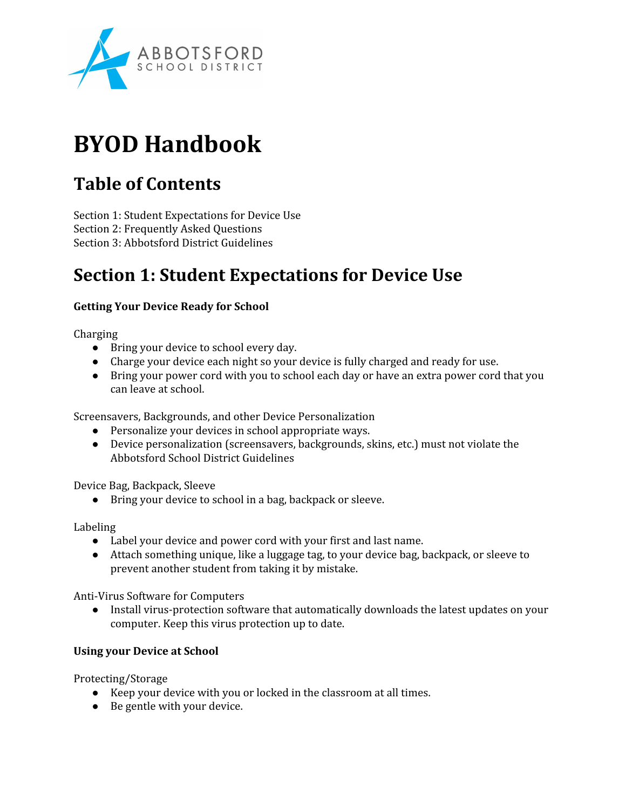

# **BYOD Handbook**

# **Table of Contents**

Section 1: Student Expectations for Device Use Section 2: Frequently Asked Questions Section 3: Abbotsford District Guidelines

# **Section 1: Student Expectations for Device Use**

### **Getting Your Device Ready for School**

**Charging** 

- Bring your device to school every day.
- Charge your device each night so your device is fully charged and ready for use.
- Bring your power cord with you to school each day or have an extra power cord that you can leave at school.

Screensavers, Backgrounds, and other Device Personalization

- Personalize your devices in school appropriate ways.
- Device personalization (screensavers, backgrounds, skins, etc.) must not violate the Abbotsford School District Guidelines

Device Bag, Backpack, Sleeve

● Bring your device to school in a bag, backpack or sleeve.

Labeling

- Label your device and power cord with your first and last name.
- Attach something unique, like a luggage tag, to your device bag, backpack, or sleeve to prevent another student from taking it by mistake.

Anti-Virus Software for Computers

• Install virus-protection software that automatically downloads the latest updates on your computer. Keep this virus protection up to date.

### **Using your Device at School**

Protecting/Storage

- Keep your device with you or locked in the classroom at all times.
- Be gentle with your device.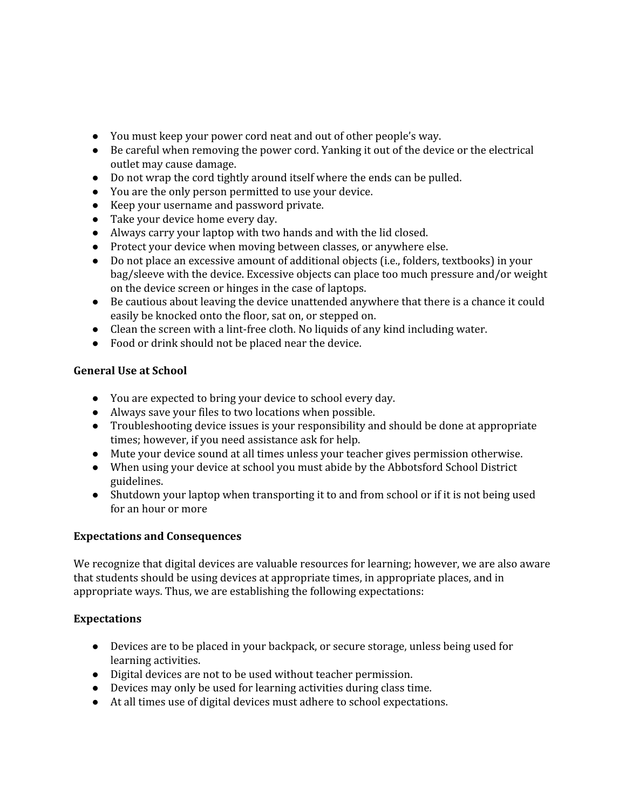- You must keep your power cord neat and out of other people's way.
- Be careful when removing the power cord. Yanking it out of the device or the electrical outlet may cause damage.
- Do not wrap the cord tightly around itself where the ends can be pulled.
- You are the only person permitted to use your device.
- Keep your username and password private.
- Take your device home every day.
- Always carry your laptop with two hands and with the lid closed.
- Protect your device when moving between classes, or anywhere else.
- Do not place an excessive amount of additional objects (i.e., folders, textbooks) in your bag/sleeve with the device. Excessive objects can place too much pressure and/or weight on the device screen or hinges in the case of laptops.
- Be cautious about leaving the device unattended anywhere that there is a chance it could easily be knocked onto the floor, sat on, or stepped on.
- $\bullet$  Clean the screen with a lint-free cloth. No liquids of any kind including water.
- Food or drink should not be placed near the device.

#### **General Use at School**

- You are expected to bring your device to school every day.
- Always save your files to two locations when possible.
- Troubleshooting device issues is your responsibility and should be done at appropriate times; however, if you need assistance ask for help.
- Mute your device sound at all times unless your teacher gives permission otherwise.
- When using your device at school you must abide by the Abbotsford School District guidelines.
- Shutdown your laptop when transporting it to and from school or if it is not being used for an hour or more

#### **Expectations and Consequences**

We recognize that digital devices are valuable resources for learning; however, we are also aware that students should be using devices at appropriate times, in appropriate places, and in appropriate ways. Thus, we are establishing the following expectations:

#### **Expectations**

- Devices are to be placed in your backpack, or secure storage, unless being used for learning activities.
- Digital devices are not to be used without teacher permission.
- Devices may only be used for learning activities during class time.
- At all times use of digital devices must adhere to school expectations.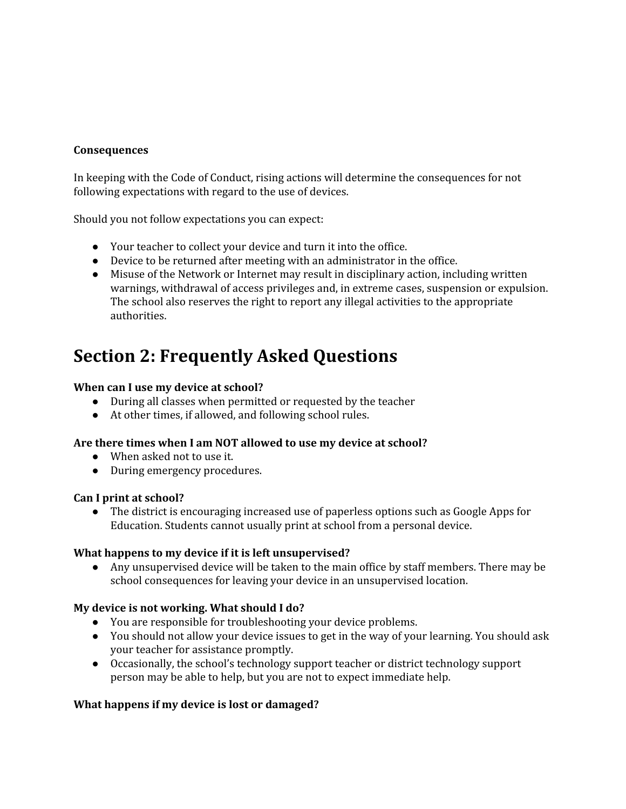#### **Consequences**

In keeping with the Code of Conduct, rising actions will determine the consequences for not following expectations with regard to the use of devices.

Should you not follow expectations you can expect:

- Your teacher to collect your device and turn it into the office.
- Device to be returned after meeting with an administrator in the office.
- Misuse of the Network or Internet may result in disciplinary action, including written warnings, withdrawal of access privileges and, in extreme cases, suspension or expulsion. The school also reserves the right to report any illegal activities to the appropriate authorities.

# **Section 2: Frequently Asked Questions**

#### **When can I use my device at school?**

- During all classes when permitted or requested by the teacher
- At other times, if allowed, and following school rules.

#### **Are there times when I am NOT allowed to use my device at school?**

- When asked not to use it.
- During emergency procedures.

#### **Can I print at school?**

● The district is encouraging increased use of paperless options such as Google Apps for Education. Students cannot usually print at school from a personal device.

#### **What happens to my device if it is left unsupervised?**

● Any unsupervised device will be taken to the main office by staff members. There may be school consequences for leaving your device in an unsupervised location.

#### **My device is not working. What should I do?**

- You are responsible for troubleshooting your device problems.
- You should not allow your device issues to get in the way of your learning. You should ask your teacher for assistance promptly.
- Occasionally, the school's technology support teacher or district technology support person may be able to help, but you are not to expect immediate help.

#### **What happens if my device is lost or damaged?**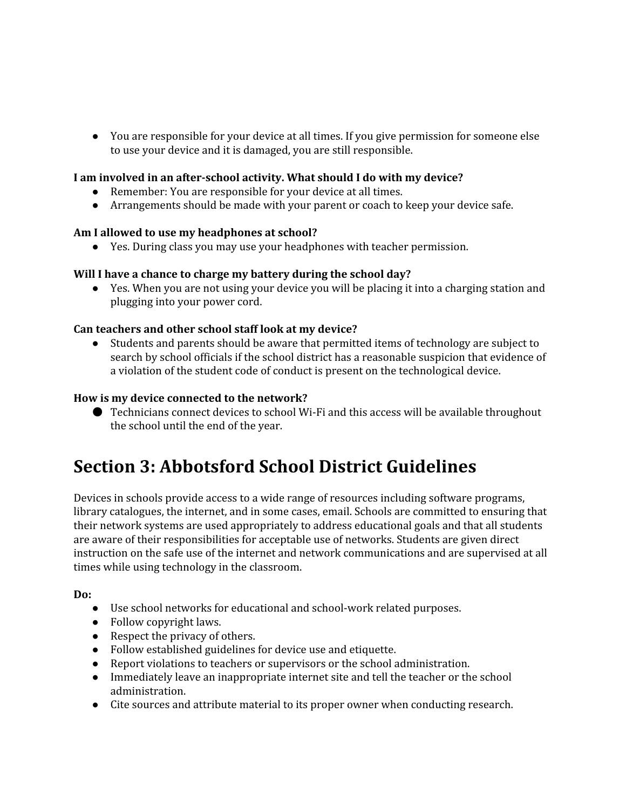● You are responsible for your device at all times. If you give permission for someone else to use your device and it is damaged, you are still responsible.

### **I am involved in an afterschool activity. What should I do with my device?**

- Remember: You are responsible for your device at all times.
- Arrangements should be made with your parent or coach to keep your device safe.

#### **Am I allowed to use my headphones at school?**

● Yes. During class you may use your headphones with teacher permission.

#### **Will I have a chance to charge my battery during the school day?**

● Yes. When you are not using your device you will be placing it into a charging station and plugging into your power cord.

#### **Can teachers and other school staff look at my device?**

● Students and parents should be aware that permitted items of technology are subject to search by school officials if the school district has a reasonable suspicion that evidence of a violation of the student code of conduct is present on the technological device.

#### **How is my device connected to the network?**

● Technicians connect devices to school WiFi and this access will be available throughout the school until the end of the year.

# **Section 3: Abbotsford School District Guidelines**

Devices in schools provide access to a wide range of resources including software programs, library catalogues, the internet, and in some cases, email. Schools are committed to ensuring that their network systems are used appropriately to address educational goals and that all students are aware of their responsibilities for acceptable use of networks. Students are given direct instruction on the safe use of the internet and network communications and are supervised at all times while using technology in the classroom.

#### **Do:**

- Use school networks for educational and school-work related purposes.
- Follow copyright laws.
- Respect the privacy of others.
- Follow established guidelines for device use and etiquette.
- Report violations to teachers or supervisors or the school administration.
- Immediately leave an inappropriate internet site and tell the teacher or the school administration.
- Cite sources and attribute material to its proper owner when conducting research.